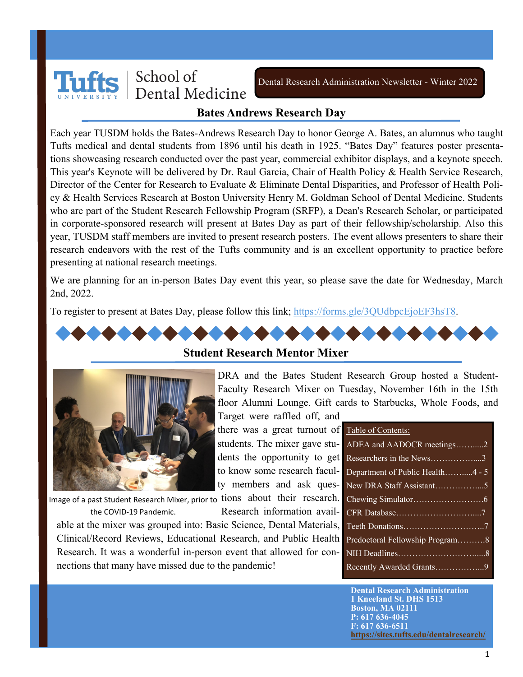

Dental Research Administration Newsletter - Winter 2022

#### **Bates Andrews Research Day**

Each year TUSDM holds the Bates-Andrews Research Day to honor George A. Bates, an alumnus who taught Tufts medical and dental students from 1896 until his death in 1925. "Bates Day" features poster presentations showcasing research conducted over the past year, commercial exhibitor displays, and a keynote speech. This year's Keynote will be delivered by Dr. Raul Garcia, Chair of Health Policy & Health Service Research, Director of the Center for Research to Evaluate & Eliminate Dental Disparities, and Professor of Health Policy & Health Services Research at Boston University Henry M. Goldman School of Dental Medicine. Students who are part of the Student Research Fellowship Program (SRFP), a Dean's Research Scholar, or participated in corporate-sponsored research will present at Bates Day as part of their fellowship/scholarship. Also this year, TUSDM staff members are invited to present research posters. The event allows presenters to share their research endeavors with the rest of the Tufts community and is an excellent opportunity to practice before presenting at national research meetings.

We are planning for an in-person Bates Day event this year, so please save the date for Wednesday, March 2nd, 2022.

To register to present at Bates Day, please follow this link; [https://forms.gle/3QUdbpcEjoEF3hsT8.](https://forms.gle/3QUdbpcEjoEF3hsT8) 



Image of a past Student Research Mixer, prior to tions about their research. the COVID-19 Pandemic.

Research information available at the mixer was grouped into: Basic Science, Dental Materials, Clinical/Record Reviews, Educational Research, and Public Health Research. It was a wonderful in-person event that allowed for connections that many have missed due to the pandemic!

| ADEA and AADOCR meetings2        |
|----------------------------------|
| Researchers in the News3         |
| Department of Public Health4 - 5 |
|                                  |
|                                  |
|                                  |
|                                  |
| Predoctoral Fellowship Program8  |
|                                  |
| Recently Awarded Grants9         |

**Dental Research Administration 1 Kneeland St. DHS 1513 Boston, MA 02111 P: 617 636-4045 F: 617 636-6511 <https://sites.tufts.edu/dentalresearch/>**

#### **Student Research Mentor Mixer**

DRA and the Bates Student Research Group hosted a Student-Faculty Research Mixer on Tuesday, November 16th in the 15th floor Alumni Lounge. Gift cards to Starbucks, Whole Foods, and

Target were raffled off, and there was a great turnout of **Table of Contents:** students. The mixer gave students the opportunity to get to know some research faculty members and ask ques-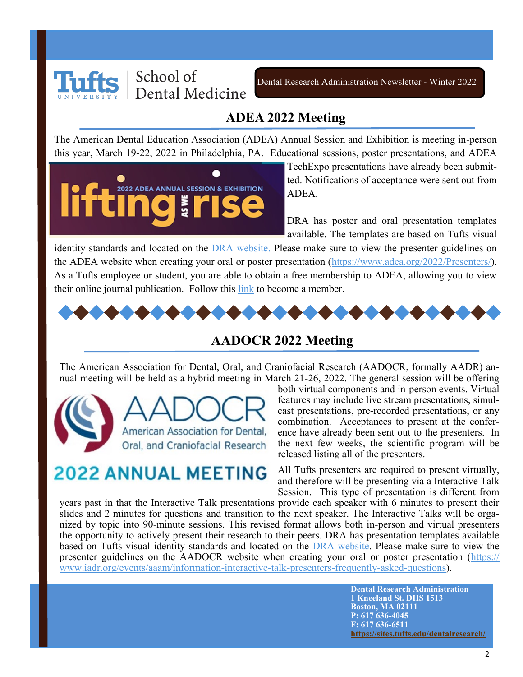

#### **ADEA 2022 Meeting**

The American Dental Education Association (ADEA) Annual Session and Exhibition is meeting in-person this year, March 19-22, 2022 in Philadelphia, PA. Educational sessions, poster presentations, and ADEA

2022 ADEA ANNUAL SESSION & EXHIBITION

TechExpo presentations have already been submitted. Notifications of acceptance were sent out from ADEA.

DRA has poster and oral presentation templates available. The templates are based on Tufts visual

identity standards and located on the [DRA website.](https://sites.tufts.edu/dentalresearch/resources/presenting-publishing/) Please make sure to view the presenter guidelines on the ADEA website when creating your oral or poster presentation [\(https://www.adea.org/2022/Presenters/\)](https://www.adea.org/2022/Presenters/). As a Tufts employee or student, you are able to obtain a free membership to ADEA, allowing you to view their online journal publication. Follow this [link](https://www.adea.org/join/) to become a member.



#### **AADOCR 2022 Meeting**

The American Association for Dental, Oral, and Craniofacial Research (AADOCR, formally AADR) annual meeting will be held as a hybrid meeting in March 21-26, 2022. The general session will be offering



## **2022 ANNUAL MEETING**

both virtual components and in-person events. Virtual features may include live stream presentations, simulcast presentations, pre-recorded presentations, or any combination. Acceptances to present at the conference have already been sent out to the presenters. In the next few weeks, the scientific program will be released listing all of the presenters.

All Tufts presenters are required to present virtually, and therefore will be presenting via a Interactive Talk Session. This type of presentation is different from

years past in that the Interactive Talk presentations provide each speaker with 6 minutes to present their slides and 2 minutes for questions and transition to the next speaker. The Interactive Talks will be organized by topic into 90-minute sessions. This revised format allows both in-person and virtual presenters the opportunity to actively present their research to their peers. DRA has presentation templates available based on Tufts visual identity standards and located on the [DRA website.](https://sites.tufts.edu/dentalresearch/resources/presenting-publishing/) Please make sure to view the presenter guidelines on the AADOCR website when creating your oral or poster presentation ([https://](https://www.iadr.org/events/aaam/information-interactive-talk-presenters-frequently-asked-questions) [www.iadr.org/events/aaam/information](https://www.iadr.org/events/aaam/information-interactive-talk-presenters-frequently-asked-questions)-interactive-talk-presenters-frequently-asked-questions).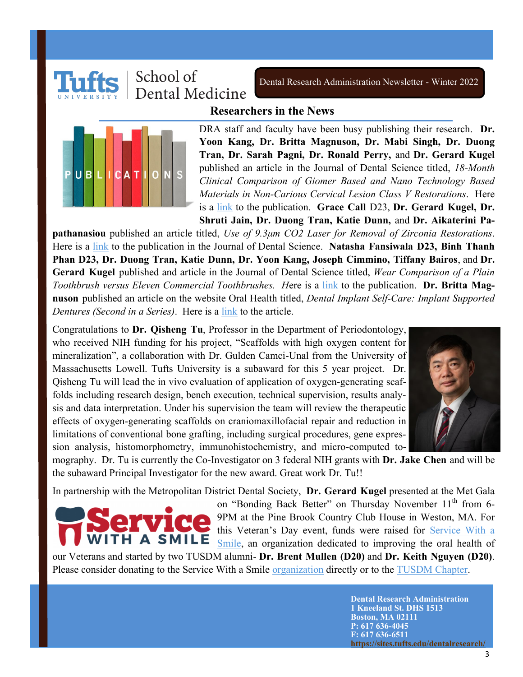

Dental Research Administration Newsletter - Winter 2022

#### **Researchers in the News**



DRA staff and faculty have been busy publishing their research. **Dr. Yoon Kang, Dr. Britta Magnuson, Dr. Mabi Singh, Dr. Duong Tran, Dr. Sarah Pagni, Dr. Ronald Perry,** and **Dr. Gerard Kugel**  published an article in the Journal of Dental Science titled, *18-Month Clinical Comparison of Giomer Based and Nano Technology Based Materials in Non-Carious Cervical Lesion Class V Restorations*. Here is a [link](https://medwinpublishers.com/OAJDS/18-month-clinical-comparison-of-giomer-based-and-nano-technology-based-materials-in-non-carious-cervical-lesion-class-v-restorations.pdf) to the publication. **Grace Call** D23, **Dr. Gerard Kugel, Dr. Shruti Jain, Dr. Duong Tran, Katie Dunn,** and **Dr. Aikaterini Pa-**

**pathanasiou** published an article titled, *Use of 9.3μm CO2 Laser for Removal of Zirconia Restorations*. Here is a [link](https://medwinpublishers.com/OAJDS/use-of-9-3%CE%BCm-co2-laser-for-removal-of-zirconia-restorations.pdf) to the publication in the Journal of Dental Science. **Natasha Fansiwala D23, Binh Thanh Phan D23, Dr. Duong Tran, Katie Dunn, Dr. Yoon Kang, Joseph Cimmino, Tiffany Bairos**, and **Dr. Gerard Kugel** published and article in the Journal of Dental Science titled, *Wear Comparison of a Plain Toothbrush versus Eleven Commercial Toothbrushes. H*ere is a [link](https://medwinpublishers.com/OAJDS/wear-comparison-of-a-plain-toothbrush-versus-eleven-commercial-toothbrushes.pdf) to the publication. **Dr. Britta Magnuson** published an article on the website Oral Health titled, *Dental Implant Self-Care: Implant Supported Dentures (Second in a Series)*. Here is a [link](https://www.oralhealthgroup.com/features/dental-implant-self-care-implant-supported-dentures-second-in-a-series/) to the article.

Congratulations to **Dr. Qisheng Tu**, Professor in the Department of Periodontology, who received NIH funding for his project, "Scaffolds with high oxygen content for mineralization", a collaboration with Dr. Gulden Camci-Unal from the University of Massachusetts Lowell. Tufts University is a subaward for this 5 year project. Dr. Qisheng Tu will lead the in vivo evaluation of application of oxygen-generating scaffolds including research design, bench execution, technical supervision, results analysis and data interpretation. Under his supervision the team will review the therapeutic effects of oxygen-generating scaffolds on craniomaxillofacial repair and reduction in limitations of conventional bone grafting, including surgical procedures, gene expression analysis, histomorphometry, immunohistochemistry, and micro-computed to-



mography. Dr. Tu is currently the Co-Investigator on 3 federal NIH grants with **Dr. Jake Chen** and will be the subaward Principal Investigator for the new award. Great work Dr. Tu!!

In partnership with the Metropolitan District Dental Society, **Dr. Gerard Kugel** presented at the Met Gala



on "Bonding Back Better" on Thursday November 11<sup>th</sup> from 6-9PM at the Pine Brook Country Club House in Weston, MA. For this Veteran's Day event, funds were raised for **Service With a** [Smile,](https://servicewithasmile-veterans.org/) an organization dedicated to improving the oral health of

our Veterans and started by two TUSDM alumni- **Dr. Brent Mullen (D20)** and **Dr. Keith Nguyen (D20)**. Please consider donating to the Service With a Smile [organization](https://servicewithasmile-veterans.org/donate/) directly or to the [TUSDM Chapter.](https://give.tufts.edu/campaigns/22191/donations/new?a=4835081&designation=ServicewithaSmile)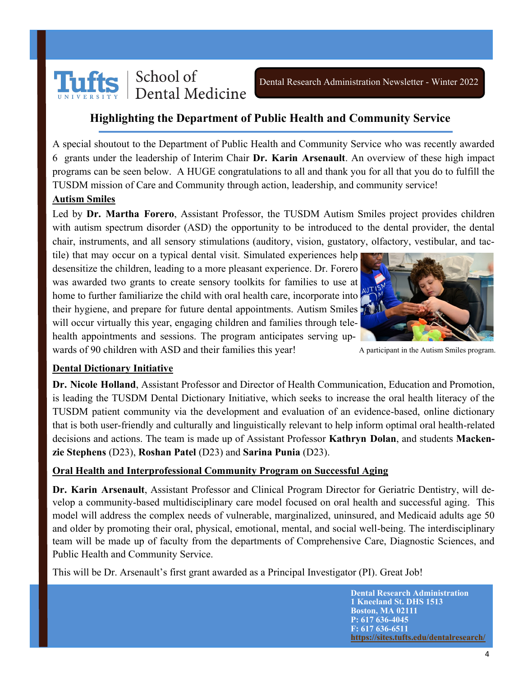

#### **Highlighting the Department of Public Health and Community Service**

A special shoutout to the Department of Public Health and Community Service who was recently awarded 6 grants under the leadership of Interim Chair **Dr. Karin Arsenault**. An overview of these high impact programs can be seen below. A HUGE congratulations to all and thank you for all that you do to fulfill the TUSDM mission of Care and Community through action, leadership, and community service!

#### **Autism Smiles**

Led by **Dr. Martha Forero**, Assistant Professor, the TUSDM Autism Smiles project provides children with autism spectrum disorder (ASD) the opportunity to be introduced to the dental provider, the dental chair, instruments, and all sensory stimulations (auditory, vision, gustatory, olfactory, vestibular, and tac-

tile) that may occur on a typical dental visit. Simulated experiences help desensitize the children, leading to a more pleasant experience. Dr. Forero was awarded two grants to create sensory toolkits for families to use at home to further familiarize the child with oral health care, incorporate into their hygiene, and prepare for future dental appointments. Autism Smiles will occur virtually this year, engaging children and families through telehealth appointments and sessions. The program anticipates serving upwards of 90 children with ASD and their families this year!



A participant in the Autism Smiles program.

#### **Dental Dictionary Initiative**

**Dr. Nicole Holland**, Assistant Professor and Director of Health Communication, Education and Promotion, is leading the TUSDM Dental Dictionary Initiative, which seeks to increase the oral health literacy of the TUSDM patient community via the development and evaluation of an evidence-based, online dictionary that is both user-friendly and culturally and linguistically relevant to help inform optimal oral health-related decisions and actions. The team is made up of Assistant Professor **Kathryn Dolan**, and students **Mackenzie Stephens** (D23), **Roshan Patel** (D23) and **Sarina Punia** (D23).

#### **Oral Health and Interprofessional Community Program on Successful Aging**

**Dr. Karin Arsenault**, Assistant Professor and Clinical Program Director for Geriatric Dentistry, will develop a community-based multidisciplinary care model focused on oral health and successful aging. This model will address the complex needs of vulnerable, marginalized, uninsured, and Medicaid adults age 50 and older by promoting their oral, physical, emotional, mental, and social well-being. The interdisciplinary team will be made up of faculty from the departments of Comprehensive Care, Diagnostic Sciences, and Public Health and Community Service.

This will be Dr. Arsenault's first grant awarded as a Principal Investigator (PI). Great Job!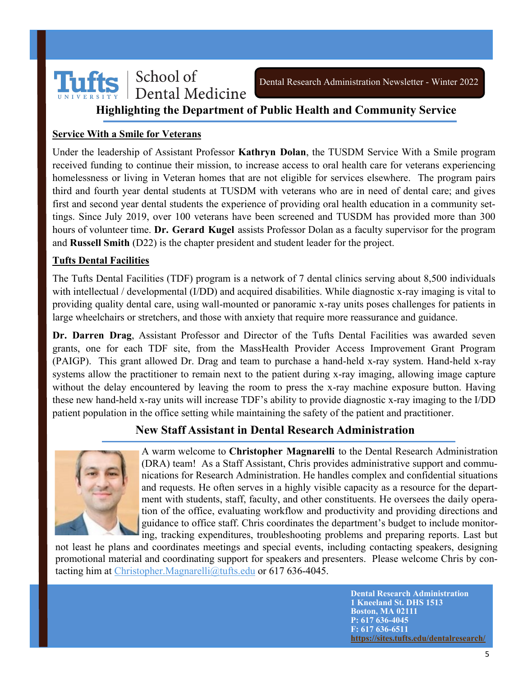

#### **Highlighting the Department of Public Health and Community Service**

#### **Service With a Smile for Veterans**

Under the leadership of Assistant Professor **Kathryn Dolan**, the TUSDM Service With a Smile program received funding to continue their mission, to increase access to oral health care for veterans experiencing homelessness or living in Veteran homes that are not eligible for services elsewhere. The program pairs third and fourth year dental students at TUSDM with veterans who are in need of dental care; and gives first and second year dental students the experience of providing oral health education in a community settings. Since July 2019, over 100 veterans have been screened and TUSDM has provided more than 300 hours of volunteer time. **Dr. Gerard Kugel** assists Professor Dolan as a faculty supervisor for the program and **Russell Smith** (D22) is the chapter president and student leader for the project.

#### **Tufts Dental Facilities**

The Tufts Dental Facilities (TDF) program is a network of 7 dental clinics serving about 8,500 individuals with intellectual / developmental (I/DD) and acquired disabilities. While diagnostic x-ray imaging is vital to providing quality dental care, using wall-mounted or panoramic x-ray units poses challenges for patients in large wheelchairs or stretchers, and those with anxiety that require more reassurance and guidance.

**Dr. Darren Drag**, Assistant Professor and Director of the Tufts Dental Facilities was awarded seven grants, one for each TDF site, from the MassHealth Provider Access Improvement Grant Program (PAIGP). This grant allowed Dr. Drag and team to purchase a hand-held x-ray system. Hand-held x-ray systems allow the practitioner to remain next to the patient during x-ray imaging, allowing image capture without the delay encountered by leaving the room to press the x-ray machine exposure button. Having these new hand-held x-ray units will increase TDF's ability to provide diagnostic x-ray imaging to the I/DD patient population in the office setting while maintaining the safety of the patient and practitioner.

#### **New Staff Assistant in Dental Research Administration**



A warm welcome to **Christopher Magnarelli** to the Dental Research Administration (DRA) team! As a Staff Assistant, Chris provides administrative support and communications for Research Administration. He handles complex and confidential situations and requests. He often serves in a highly visible capacity as a resource for the department with students, staff, faculty, and other constituents. He oversees the daily operation of the office, evaluating workflow and productivity and providing directions and guidance to office staff. Chris coordinates the department's budget to include monitoring, tracking expenditures, troubleshooting problems and preparing reports. Last but

not least he plans and coordinates meetings and special events, including contacting speakers, designing promotional material and coordinating support for speakers and presenters. Please welcome Chris by con-tacting him at [Christopher.Magnarelli@tufts.edu](mailto:Christopher.Magnarelli@tufts.edu) or 617 636-4045.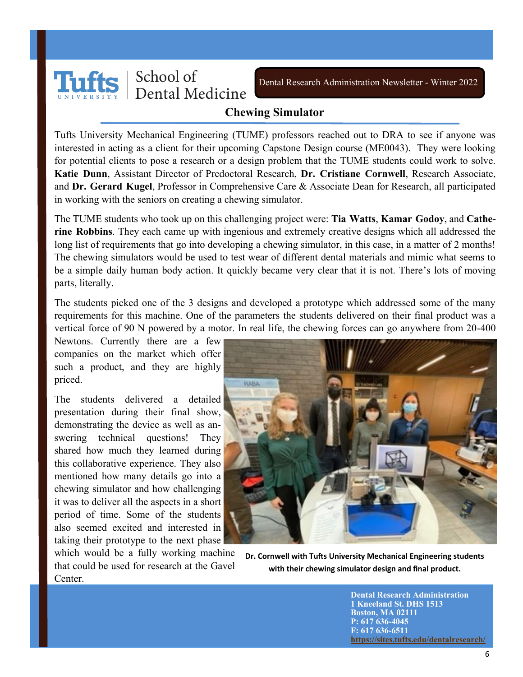

Dental Research Administration Newsletter - Winter 2022

#### **Chewing Simulator**

Tufts University Mechanical Engineering (TUME) professors reached out to DRA to see if anyone was interested in acting as a client for their upcoming Capstone Design course (ME0043). They were looking for potential clients to pose a research or a design problem that the TUME students could work to solve. **Katie Dunn**, Assistant Director of Predoctoral Research, **Dr. Cristiane Cornwell**, Research Associate, and **Dr. Gerard Kugel**, Professor in Comprehensive Care & Associate Dean for Research, all participated in working with the seniors on creating a chewing simulator.

The TUME students who took up on this challenging project were: **Tia Watts**, **Kamar Godoy**, and **Catherine Robbins**. They each came up with ingenious and extremely creative designs which all addressed the long list of requirements that go into developing a chewing simulator, in this case, in a matter of 2 months! The chewing simulators would be used to test wear of different dental materials and mimic what seems to be a simple daily human body action. It quickly became very clear that it is not. There's lots of moving parts, literally.

The students picked one of the 3 designs and developed a prototype which addressed some of the many requirements for this machine. One of the parameters the students delivered on their final product was a vertical force of 90 N powered by a motor. In real life, the chewing forces can go anywhere from 20-400

Newtons. Currently there are a few companies on the market which offer such a product, and they are highly priced.

The students delivered a detailed presentation during their final show, demonstrating the device as well as answering technical questions! They shared how much they learned during this collaborative experience. They also mentioned how many details go into a chewing simulator and how challenging it was to deliver all the aspects in a short period of time. Some of the students also seemed excited and interested in taking their prototype to the next phase

which would be a fully working machine that could be used for research at the Gavel Center.



**Dr. Cornwell with Tufts University Mechanical Engineering students with their chewing simulator design and final product.**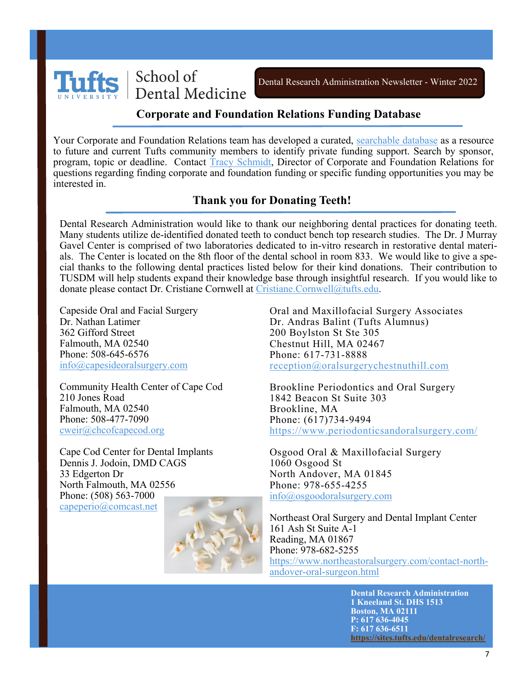

#### **Corporate and Foundation Relations Funding Database**

Your Corporate and Foundation Relations team has developed a curated, [searchable database](https://cfr.tufts.edu/funding-database/) as a resource to future and current Tufts community members to identify private funding support. Search by sponsor, program, topic or deadline. Contact [Tracy Schmidt,](mailto:Tracy.Schmidt@tufts.edu) Director of Corporate and Foundation Relations for questions regarding finding corporate and foundation funding or specific funding opportunities you may be interested in.

#### **Thank you for Donating Teeth!**

Dental Research Administration would like to thank our neighboring dental practices for donating teeth. Many students utilize de-identified donated teeth to conduct bench top research studies. The Dr. J Murray Gavel Center is comprised of two laboratories dedicated to in-vitro research in restorative dental materials. The Center is located on the 8th floor of the dental school in room 833. We would like to give a special thanks to the following dental practices listed below for their kind donations. Their contribution to TUSDM will help students expand their knowledge base through insightful research. If you would like to donate please contact Dr. Cristiane Cornwell at [Cristiane.Cornwell@tufts.edu.](mailto:Cristiane.Cornwell@tufts.edu)

Capeside Oral and Facial Surgery Dr. Nathan Latimer 362 Gifford Street Falmouth, MA 02540 Phone: 508-645-6576 [info@capesideoralsurgery.com](mailto:info@capesideoralsurgery.com)

Community Health Center of Cape Cod 210 Jones Road Falmouth, MA 02540 Phone: 508-477-7090 [cweir@chcofcapecod.org](mailto:cweir@chcofcapecod.org)

Cape Cod Center for Dental Implants Dennis J. Jodoin, DMD CAGS 33 Edgerton Dr North Falmouth, MA 02556 Phone: (508) 563-7000 [capeperio@comcast.net](mailto:capeperio@comcast.net)



Oral and Maxillofacial Surgery Associates Dr. Andras Balint (Tufts Alumnus) 200 Boylston St Ste 305 Chestnut Hill, MA 02467 Phone: 617-731-8888 [reception@oralsurgerychestnuthill.com](mailto:reception@oralsurgerychestnuthill.com)

Brookline Periodontics and Oral Surgery 1842 Beacon St Suite 303 Brookline, MA Phone: (617)734-9494 <https://www.periodonticsandoralsurgery.com/>

Osgood Oral & Maxillofacial Surgery 1060 Osgood St North Andover, MA 01845 Phone: 978-655-4255 [info@osgoodoralsurgery.com](mailto:info@osgoodoralsurgery.com)

Northeast Oral Surgery and Dental Implant Center 161 Ash St Suite A-1 Reading, MA 01867 Phone: 978-682-5255 [https://www.northeastoralsurgery.com/contact](https://www.northeastoralsurgery.com/contact-north-andover-oral-surgeon.html)-northandover-oral-[surgeon.html](https://www.northeastoralsurgery.com/contact-north-andover-oral-surgeon.html)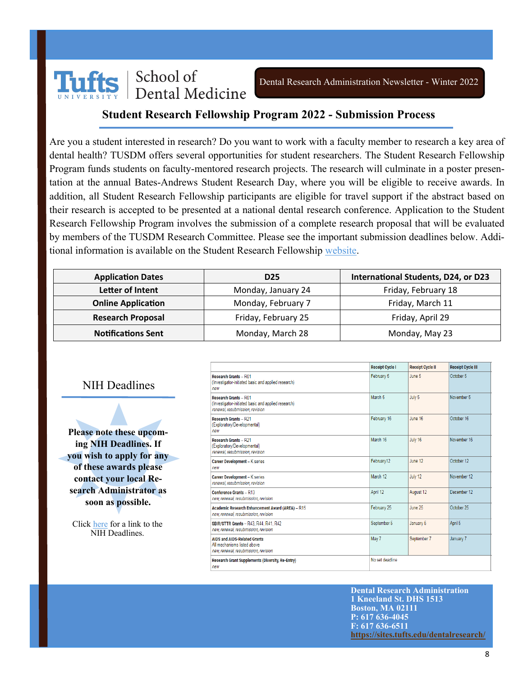

#### **Student Research Fellowship Program 2022 - Submission Process**

Are you a student interested in research? Do you want to work with a faculty member to research a key area of dental health? TUSDM offers several opportunities for student researchers. The Student Research Fellowship Program funds students on faculty-mentored research projects. The research will culminate in a poster presentation at the annual Bates-Andrews Student Research Day, where you will be eligible to receive awards. In addition, all Student Research Fellowship participants are eligible for travel support if the abstract based on their research is accepted to be presented at a national dental research conference. Application to the Student Research Fellowship Program involves the submission of a complete research proposal that will be evaluated by members of the TUSDM Research Committee. Please see the important submission deadlines below. Additional information is available on the Student Research Fellowship [website.](https://sites.tufts.edu/dentalresearch/gettingstarted/pre-doctoral-research/student-research-fellowship-program/)

| <b>Application Dates</b>  | D <sub>25</sub>     | International Students, D24, or D23 |  |
|---------------------------|---------------------|-------------------------------------|--|
| Letter of Intent          | Monday, January 24  | Friday, February 18                 |  |
| <b>Online Application</b> | Monday, February 7  | Friday, March 11                    |  |
| <b>Research Proposal</b>  | Friday, February 25 | Friday, April 29                    |  |
| <b>Notifications Sent</b> | Monday, March 28    | Monday, May 23                      |  |

NIH Deadlines

**Please note these upcoming NIH Deadlines. If you wish to apply for any of these awards please contact your local Research Administrator as soon as possible.**

Click [here](https://www.nlm.nih.gov/ep/Deadlines.html) for a link to the NIH Deadlines.

|                                                                                                                        | <b>Receipt Cycle I</b> | <b>Receipt Cycle II</b> | <b>Receipt Cycle III</b> |
|------------------------------------------------------------------------------------------------------------------------|------------------------|-------------------------|--------------------------|
| <b>Research Grants - R01</b><br>(Investigator-initiated basic and applied research)<br>new                             | February 5             | June 5                  | October 5                |
| <b>Research Grants - R01</b><br>(Investigator-initiated basic and applied research)<br>renewal, resubmission, revision | March 5                | July 5                  | November 5               |
| <b>Research Grants - R21</b><br>(Exploratory/Developmental)<br>new                                                     | February 16            | June 16                 | October 16               |
| <b>Research Grants - R21</b><br>(Exploratory/Developmental)<br>renewal, resubmission, revision                         | March 16               | July 16                 | November 16              |
| Career Development - K series<br>new                                                                                   | February12             | June 12                 | October 12               |
| Career Development - K series<br>renewal, resubmission, revision                                                       | March 12               | July 12                 | November 12              |
| Conference Grants - R13<br>new, renewal, resubmission, revision                                                        | April 12               | August 12               | December 12              |
| <b>Academic Research Enhancement Award (AREA) - R15</b><br>new, renewal, resubmission, revision                        | February 25            | June 25                 | October 25               |
| SBIR/STTR Grants - R43, R44, R41, R42<br>new, renewal, resubmission, revision                                          | September 5            | January 5               | April 5                  |
| <b>AIDS and AIDS-Related Grants</b><br>All mechanisms listed above<br>new, renewal, resubmission, revision             | May 7                  | September 7             | January 7                |
| Research Grant Supplements (Diversity, Re-Entry)<br>new                                                                | No set deadline        |                         |                          |